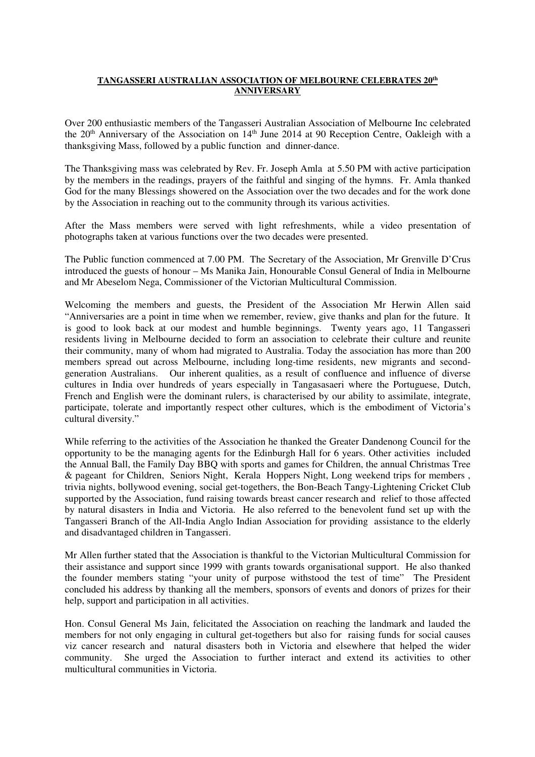## **TANGASSERI AUSTRALIAN ASSOCIATION OF MELBOURNE CELEBRATES 20th ANNIVERSARY**

Over 200 enthusiastic members of the Tangasseri Australian Association of Melbourne Inc celebrated the 20<sup>th</sup> Anniversary of the Association on 14<sup>th</sup> June 2014 at 90 Reception Centre, Oakleigh with a thanksgiving Mass, followed by a public function and dinner-dance.

The Thanksgiving mass was celebrated by Rev. Fr. Joseph Amla at 5.50 PM with active participation by the members in the readings, prayers of the faithful and singing of the hymns. Fr. Amla thanked God for the many Blessings showered on the Association over the two decades and for the work done by the Association in reaching out to the community through its various activities.

After the Mass members were served with light refreshments, while a video presentation of photographs taken at various functions over the two decades were presented.

The Public function commenced at 7.00 PM. The Secretary of the Association, Mr Grenville D'Crus introduced the guests of honour – Ms Manika Jain, Honourable Consul General of India in Melbourne and Mr Abeselom Nega, Commissioner of the Victorian Multicultural Commission.

Welcoming the members and guests, the President of the Association Mr Herwin Allen said "Anniversaries are a point in time when we remember, review, give thanks and plan for the future. It is good to look back at our modest and humble beginnings. Twenty years ago, 11 Tangasseri residents living in Melbourne decided to form an association to celebrate their culture and reunite their community, many of whom had migrated to Australia. Today the association has more than 200 members spread out across Melbourne, including long-time residents, new migrants and secondgeneration Australians. Our inherent qualities, as a result of confluence and influence of diverse cultures in India over hundreds of years especially in Tangasasaeri where the Portuguese, Dutch, French and English were the dominant rulers, is characterised by our ability to assimilate, integrate, participate, tolerate and importantly respect other cultures, which is the embodiment of Victoria's cultural diversity."

While referring to the activities of the Association he thanked the Greater Dandenong Council for the opportunity to be the managing agents for the Edinburgh Hall for 6 years. Other activities included the Annual Ball, the Family Day BBQ with sports and games for Children, the annual Christmas Tree & pageant for Children, Seniors Night, Kerala Hoppers Night, Long weekend trips for members , trivia nights, bollywood evening, social get-togethers, the Bon-Beach Tangy-Lightening Cricket Club supported by the Association, fund raising towards breast cancer research and relief to those affected by natural disasters in India and Victoria. He also referred to the benevolent fund set up with the Tangasseri Branch of the All-India Anglo Indian Association for providing assistance to the elderly and disadvantaged children in Tangasseri.

Mr Allen further stated that the Association is thankful to the Victorian Multicultural Commission for their assistance and support since 1999 with grants towards organisational support. He also thanked the founder members stating "your unity of purpose withstood the test of time" The President concluded his address by thanking all the members, sponsors of events and donors of prizes for their help, support and participation in all activities.

Hon. Consul General Ms Jain, felicitated the Association on reaching the landmark and lauded the members for not only engaging in cultural get-togethers but also for raising funds for social causes viz cancer research and natural disasters both in Victoria and elsewhere that helped the wider community. She urged the Association to further interact and extend its activities to other multicultural communities in Victoria.